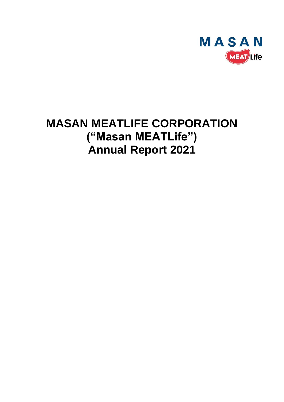

# **MASAN MEATLIFE CORPORATION ("Masan MEATLife") Annual Report 2021**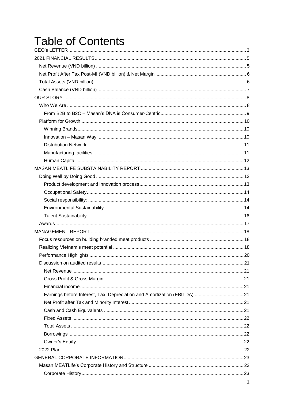# **Table of Contents**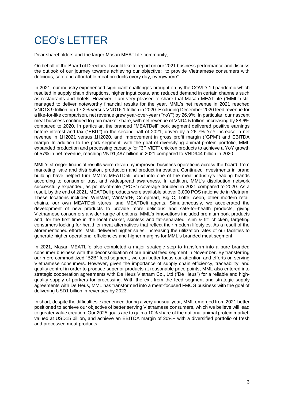# <span id="page-3-0"></span>CEO's LETTER

Dear shareholders and the larger Masan MEATLife community,

On behalf of the Board of Directors, I would like to report on our 2021 business performance and discuss the outlook of our journey towards achieving our objective: "to provide Vietnamese consumers with delicious, safe and affordable meat products every day, everywhere".

In 2021, our industry experienced significant challenges brought on by the COVID-19 pandemic which resulted in supply chain disruptions, higher input costs, and reduced demand in certain channels such as restaurants and hotels. However, I am very pleased to share that Masan MEATLife ("MML") still managed to deliver noteworthy financial results for the year. MML's net revenue in 2021 reached VND18.9 trillion, up 17.2% versus VND16.1 trillion in 2020. Excluding December 2020 feed revenue for a like-for-like comparison, net revenue grew year-over-year ("YoY") by 26.9%. In particular, our nascent meat business continued to gain market share, with net revenue of VND4.5 trillion, increasing by 88.6% compared to 2020. In particular, the branded "MEATDeli" pork segment delivered positive earnings before interest and tax ("EBIT") in the second half of 2021, driven by a 26.7% YoY increase in net revenue in 1H2021 versus 1H2020, and improvement in gross profit margin ("GPM") and EBITDA margin. In addition to the pork segment, with the goal of diversifying animal protein portfolio, MML expanded production and processing capacity for "3F VIET" chicken products to achieve a YoY growth of 57% in net revenue, reaching VND1,487 billion in 2021 compared to VND944 billion in 2020.

MML's stronger financial results were driven by improved business operations across the board, from marketing, sale and distribution, production and product innovation. Continued investments in brand building have helped turn MML's MEATDeli brand into one of the meat industry's leading brands according to consumer trust and widespread awareness. In addition, MML's distribution network successfully expanded, as points-of-sale ("POS") coverage doubled in 2021 compared to 2020. As a result, by the end of 2021, MEATDeli products were available at over 3,000 POS nationwide in Vietnam. These locations included WinMart, WinMart+, Co.opmart, Big C, Lotte, Aeon, other modern retail chains, our own MEATDeli stores, and MEATDeli agents. Simultaneously, we accelerated the development of new products to provide more delicious and safe-for-health products, giving Vietnamese consumers a wider range of options. MML's innovations included premium pork products and, for the first time in the local market, skinless and fat-separated "slim & fit" chicken, targeting consumers looking for healthier meat alternatives that reflect their modern lifestyles. As a result of the aforementioned efforts, MML delivered higher sales, increasing the utilization rates of our facilities to generate higher operational efficiencies and higher margins for MML's branded meat segment.

In 2021, Masan MEATLife also completed a major strategic step to transform into a pure branded consumer business with the deconsolidation of our animal feed segment in November. By transferring our more commoditized "B2B" feed segment, we can better focus our attention and efforts on serving Vietnamese consumers. However, given the importance of supply chain efficiency, traceability, and quality control in order to produce superior products at reasonable price points, MML also entered into strategic cooperation agreements with De Heus Vietnam Co., Ltd ("De Heus") for a reliable and highquality supply of porkers for processing. With the exit from the feed segment and strategic supply agreements with De Heus, MML has transformed into a meat-focused FMCG business with the goal of delivering USD1 billion in revenues by 2023.

In short, despite the difficulties experienced during a very unusual year, MML emerged from 2021 better positioned to achieve our objective of better serving Vietnamese consumers, which we believe will lead to greater value creation. Our 2025 goals are to gain a 10% share of the national animal protein market, valued at USD15 billion, and achieve an EBITDA margin of 20%+ with a diversified portfolio of fresh and processed meat products.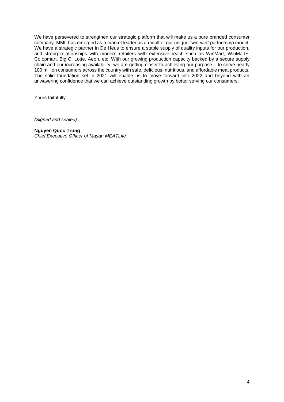We have persevered to strengthen our strategic platform that will make us a pure branded consumer company. MML has emerged as a market leader as a result of our unique "win-win" partnership model. We have a strategic partner in De Heus to ensure a stable supply of quality inputs for our production, and strong relationships with modern retailers with extensive reach such as WinMart, WinMart+, Co.opmart, Big C, Lotte, Aeon, etc. With our growing production capacity backed by a secure supply chain and our increasing availability, we are getting closer to achieving our purpose – to serve nearly 100 million consumers across the country with safe, delicious, nutritious, and affordable meat products. The solid foundation set in 2021 will enable us to move forward into 2022 and beyond with an unwavering confidence that we can achieve outstanding growth by better serving our consumers.

Yours faithfully,

*(Signed and sealed)*

#### **Nguyen Quoc Trung**

*Chief Executive Officer of Masan MEATLife*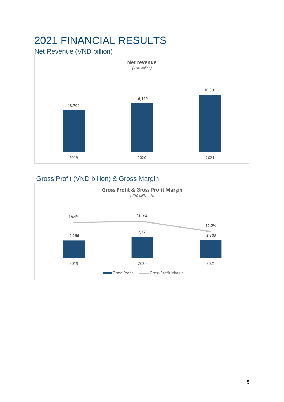# <span id="page-5-0"></span>2021 FINANCIAL RESULTS

<span id="page-5-1"></span>Net Revenue (VND billion)



# Gross Profit (VND billion) & Gross Margin

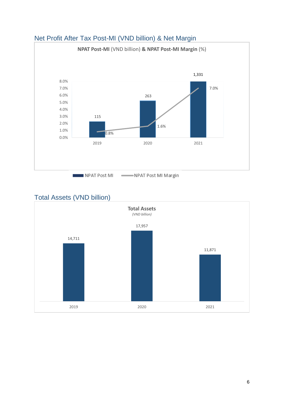

# <span id="page-6-0"></span>Net Profit After Tax Post-MI (VND billion) & Net Margin

# <span id="page-6-1"></span>Total Assets (VND billion)

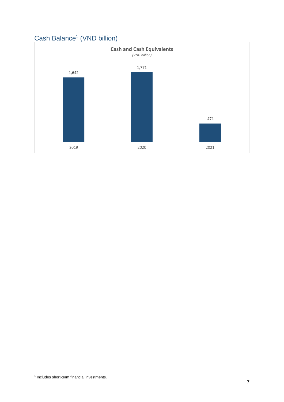

# <span id="page-7-0"></span>Cash Balance<sup>1</sup> (VND billion)

 1 Includes short-term financial investments.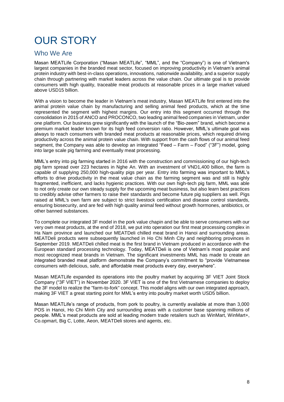# <span id="page-8-0"></span>OUR STORY

# <span id="page-8-1"></span>Who We Are

Masan MEATLife Corporation ("Masan MEATLife", "MML", and the "Company") is one of Vietnam's largest companies in the branded meat sector, focused on improving productivity in Vietnam's animal protein industry with best-in-class operations, innovations, nationwide availability, and a superior supply chain through partnering with market leaders across the value chain. Our ultimate goal is to provide consumers with high quality, traceable meat products at reasonable prices in a large market valued above USD15 billion.

With a vision to become the leader in Vietnam's meat industry, Masan MEATLife first entered into the animal protein value chain by manufacturing and selling animal feed products, which at the time represented the segment with highest margins. Our entry into this segment occurred through the consolidation in 2015 of ANCO and PROCONCO, two leading animal feed companies in Vietnam, under one platform. Our business grew significantly with the launch of the "Bio-zeem" brand, which become a premium market leader known for its high feed conversion ratio. However, MML's ultimate goal was always to reach consumers with branded meat products at reasonable prices, which required driving productivity across the animal protein value chain. With support from the cash flows of our animal feed segment, the Company was able to develop an integrated "Feed – Farm – Food" ("3F") model, going into large scale pig farming and eventually meat processing.

MML's entry into pig farming started in 2016 with the construction and commissioning of our high-tech pig farm spread over 223 hectares in Nghe An. With an investment of VND1,400 billion, the farm is capable of supplying 250,000 high-quality pigs per year. Entry into farming was important to MML's efforts to drive productivity in the meat value chain as the farming segment was and still is highly fragmented, inefficient, and lacks hygienic practices. With our own high-tech pig farm, MML was able to not only create our own steady supply for the upcoming meat business, but also learn best practices to credibly advise other farmers to raise their standards and become future pig suppliers as well. Pigs raised at MML's own farm are subject to strict livestock certification and disease control standards, ensuring biosecurity, and are fed with high quality animal feed without growth hormones, antibiotics, or other banned substances.

To complete our integrated 3F model in the pork value chapin and be able to serve consumers with our very own meat products, at the end of 2018, we put into operation our first meat processing complex in Ha Nam province and launched our MEATDeli chilled meat brand in Hanoi and surrounding areas. MEATDeli products were subsequently launched in Ho Chi Minh City and neighboring provinces in September 2019. MEATDeli chilled meat is the first brand in Vietnam produced in accordance with the European standard processing technology. Today, MEATDeli is one of Vietnam's most popular and most recognized meat brands in Vietnam. The significant investments MML has made to create an integrated branded meat platform demonstrate the Company's commitment to "provide Vietnamese consumers with delicious, safe, and affordable meat products every day, everywhere".

Masan MEATLife expanded its operations into the poultry market by acquiring 3F VIET Joint Stock Company ("3F VIET") in November 2020. 3F VIET is one of the first Vietnamese companies to deploy the 3F model to realize the "farm-to-fork" concept. This model aligns with our own integrated approach, making 3F VIET a great starting point for MML's entry into poultry market worth USD5 billion.

Masan MEATLife's range of products, from pork to poultry, is currently available at more than 3,000 POS in Hanoi, Ho Chi Minh City and surrounding areas with a customer base spanning millions of people. MML's meat products are sold at leading modern trade retailers such as WinMart, WinMart+, Co.opmart, Big C, Lotte, Aeon, MEATDeli stores and agents, etc.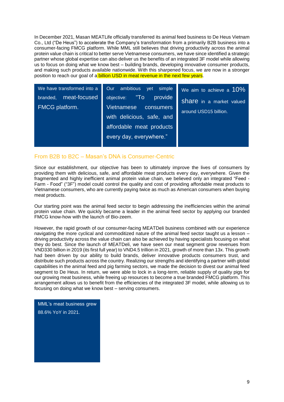In December 2021, Masan MEATLife officially transferred its animal feed business to De Heus Vietnam Co., Ltd ("De Heus") to accelerate the Company's transformation from a primarily B2B business into a consumer-facing FMCG platform. While MML still believes that driving productivity across the animal protein value chain is critical to better serve Vietnamese consumers, we have since identified a strategic partner whose global expertise can also deliver us the benefits of an integrated 3F model while allowing us to focus on doing what we know best – building brands, developing innovative consumer products, and making such products available nationwide. With this sharpened focus, we are now in a stronger position to reach our goal of a **billion USD in meat revenue in the next few years**.

| We have transformed into a                 | Our ambitious yet simple                                                          | We aim to achieve a $10\%$                               |
|--------------------------------------------|-----------------------------------------------------------------------------------|----------------------------------------------------------|
| meat-focused<br>branded,<br>FMCG platform. | objective: "To<br>provide<br>Vietnamese<br>consumers<br>with delicious, safe, and | <b>Share</b> in a market valued<br>around USD15 billion. |
|                                            | affordable meat products<br>every day, everywhere."                               |                                                          |

## <span id="page-9-0"></span>From B2B to B2C – Masan's DNA is Consumer-Centric

Since our establishment, our objective has been to ultimately improve the lives of consumers by providing them with delicious, safe, and affordable meat products every day, everywhere. Given the fragmented and highly inefficient animal protein value chain, we believed only an integrated "Feed - Farm - Food" ("3F") model could control the quality and cost of providing affordable meat products to Vietnamese consumers, who are currently paying twice as much as American consumers when buying meat products.

Our starting point was the animal feed sector to begin addressing the inefficiencies within the animal protein value chain. We quickly became a leader in the animal feed sector by applying our branded FMCG know-how with the launch of Bio-zeem.

However, the rapid growth of our consumer-facing MEATDeli business combined with our experience navigating the more cyclical and commoditized nature of the animal feed sector taught us a lesson – driving productivity across the value chain can also be achieved by having specialists focusing on what they do best. Since the launch of MEATDeli, we have seen our meat segment grow revenues from VND330 billion in 2019 (its first full year) to VND4.5 trillion in 2021, growth of more than 13x. This growth had been driven by our ability to build brands, deliver innovative products consumers trust, and distribute such products across the country. Realizing our strengths and identifying a partner with global capabilities in the animal feed and pig farming sectors, we made the decision to divest our animal feed segment to De Heus. In return, we were able to lock in a long-term, reliable supply of quality pigs for our growing meat business, while freeing up resources to become a true branded FMCG platform. This arrangement allows us to benefit from the efficiencies of the integrated 3F model, while allowing us to focusing on doing what we know best – serving consumers.

MML's meat business grew 88.6% YoY in 2021.

I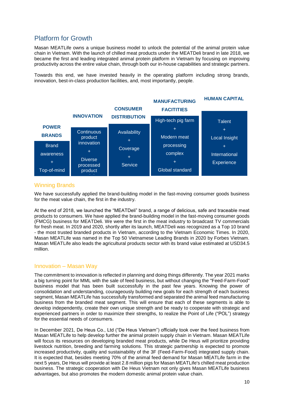# <span id="page-10-0"></span>Platform for Growth

Masan MEATLife owns a unique business model to unlock the potential of the animal protein value chain in Vietnam. With the launch of chilled meat products under the MEATDeli brand in late 2018, we became the first and leading integrated animal protein platform in Vietnam by focusing on improving productivity across the entire value chain, through both our in-house capabilities and strategic partners.

Towards this end, we have invested heavily in the operating platform including strong brands, innovation, best-in-class production facilities, and, most importantly, people.



#### <span id="page-10-1"></span>Winning Brands

We have successfully applied the brand-building model in the fast-moving consumer goods business for the meat value chain, the first in the industry.

At the end of 2018, we launched the "MEATDeli" brand, a range of delicious, safe and traceable meat products to consumers. We have applied the brand-building model in the fast-moving consumer goods (FMCG) business for MEATDeli. We were the first in the meat industry to broadcast TV commercials for fresh meat. In 2019 and 2020, shortly after its launch, MEATDeli was recognized as a Top 10 brand - the most trusted branded products in Vietnam, according to the Vietnam Economic Times. In 2020, Masan MEATLife was named in the Top 50 Vietnamese Leading Brands in 2020 by Forbes Vietnam. Masan MEATLife also leads the agricultural products sector with its brand value estimated at USD34.5 million.

### <span id="page-10-2"></span>Innovation – Masan Way

The commitment to innovation is reflected in planning and doing things differently. The year 2021 marks a big turning point for MML with the sale of feed business, but without changing the "Feed-Farm-Food" business model that has been built successfully in the past few years. Knowing the power of consolidation and understanding, courageously building new goals for each strength of each business segment, Masan MEATLife has successfully transformed and separated the animal feed manufacturing business from the branded meat segment. This will ensure that each of these segments is able to develop independently, create their own unique strength and be ready to cooperate with strategic and experienced partners in order to maximize their strengths, to realize the Point of Life ("POL") strategy for the essential needs of consumers.

In December 2021, De Heus Co., Ltd ("De Heus Vietnam") officially took over the feed business from Masan MEATLife to help develop further the animal protein supply chain in Vietnam. Masan MEATLife will focus its resources on developing branded meat products, while De Heus will prioritize providing livestock nutrition, breeding and farming solutions. This strategic partnership is expected to promote increased productivity, quality and sustainability of the 3F (Feed-Farm-Food) integrated supply chain. It is expected that, besides meeting 70% of the animal feed demand for Masan MEATLife farm in the next 5 years, De Heus will provide at least 2.8 million pigs for Masan MEATLife's chilled meat production business. The strategic cooperation with De Heus Vietnam not only gives Masan MEATLife business advantages, but also promotes the modern domestic animal protein value chain.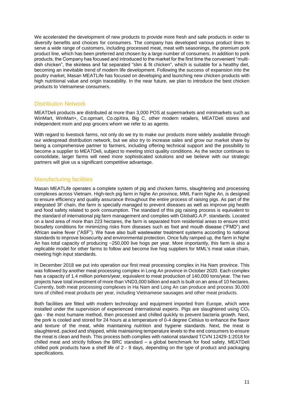We accelerated the development of new products to provide more fresh and safe products in order to diversify benefits and choices for consumers. The company has developed various product lines to serve a wide range of customers, including processed meat, meat with seasonings, the premium pork product line, which has been preferred and chosen by a large number of consumers. In addition to pork products, the Company has focused and introduced to the market for the first time the convenient "multidish chicken", the skinless and fat separated "slim & fit chicken", which is suitable for a healthy diet, becoming an inevitable trend of modern life development. Following the success of expansion into the poultry market, Masan MEATLife has focused on developing and launching new chicken products with high nutritional value and origin traceability. In the near future, we plan to introduce the best chicken products to Vietnamese consumers.

## <span id="page-11-0"></span>Distribution Network

MEATDeli products are distributed at more than 3,000 POS at supermarkets and minimarkets such as WinMart, WinMart+, Co.opmart, Co.opXtra, Big C, other modern retailers, MEATDeli stores and independent mom and pop grocers whom we refer to as agents.

With regard to livestock farms, not only do we try to make our products more widely available through our widespread distribution network, but we also try to increase sales and grow our market share by being a comprehensive partner to farmers, including offering technical support and the possibility to become a supplier to MEATDeli, subject to meeting strict quality conditions. As the sector continues to consolidate, larger farms will need more sophisticated solutions and we believe with our strategic partners will give us a significant competitive advantage.

## <span id="page-11-1"></span>Manufacturing facilities

Masan MEATLife operates a complete system of pig and chicken farms, slaughtering and processing complexes across Vietnam. High-tech pig farm in Nghe An province, MML Farm Nghe An, is designed to ensure efficiency and quality assurance throughout the entire process of raising pigs. As part of the integrated 3F chain, the farm is specially managed to prevent diseases as well as improve pig health and food safety related to pork consumption. The standard of this pig raising process is equivalent to the standard of international pig farm management and complies with GlobalG.A.P. standards. Located on a land area of more than 223 hectares, the farm is separated from residential areas to ensure strict biosafety conditions for minimizing risks from diseases such as foot and mouth disease ("FMD") and African swine fever ("ASF"). We have also built wastewater treatment systems according to national standards to improve biosecurity and environmental protection. Once fully ramped up, the farm in Nghe An has total capacity of producing ~250,000 live hogs per year. More importantly, this farm is also a replicable model for other farms to follow and become live hog suppliers for MML's meat value chain, meeting high input standards.

In December 2018 we put into operation our first meat processing complex in Ha Nam province. This was followed by another meat processing complex in Long An province in October 2020. Each complex has a capacity of 1.4 million porkers/year, equivalent to meat production of 140,000 tons/year. The two projects have total investment of more than VND3,000 billion and each is built on an area of 10 hectares. Currently, both meat processing complexes in Ha Nam and Long An can produce and process 30,000 tons of chilled meat products per year, including Vietnamese sausages and other meat products.

Both facilities are fitted with modern technology and equipment imported from Europe, which were installed under the supervision of experienced international experts. Pigs are slaughtered using  $CO<sub>2</sub>$ gas - the most humane method, then processed and chilled quickly to prevent bacteria growth. Next, the pork is cooled and stored for 24 hours at a temperature of 0-4 degree Celsius to enhance the flavor and texture of the meat, while maintaining nutrition and hygiene standards. Next, the meat is slaughtered, packed and shipped, while maintaining temperature levels to the end consumers to ensure the meat is clean and fresh. This process both complies with national standard TCVN 12429-1:2018 for chilled meat and strictly follows the BRC standard – a global benchmark for food safety. MEATDeli chilled pork products have a shelf life of 2 - 9 days, depending on the type of product and packaging specifications.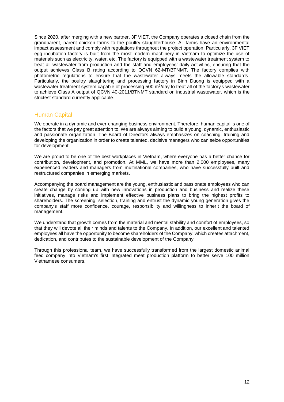Since 2020, after merging with a new partner, 3F VIET, the Company operates a closed chain from the grandparent, parent chicken farms to the poultry slaughterhouse. All farms have an environmental impact assessment and comply with regulations throughout the project operation. Particularly, 3F VIET egg incubation factory is built from the most modern machinery in Vietnam to optimize the use of materials such as electricity, water, etc. The factory is equipped with a wastewater treatment system to treat all wastewater from production and the staff and employees' daily activities, ensuring that the output achieves Class B rating according to QCVN 62-MT/BTNMT. The factory complies with photometric regulations to ensure that the wastewater always meets the allowable standards. Particularly, the poultry slaughtering and processing factory in Binh Duong is equipped with a wastewater treatment system capable of processing 500 m<sup>3</sup>/day to treat all of the factory's wastewater to achieve Class A output of QCVN 40-2011/BTNMT standard on industrial wastewater, which is the strictest standard currently applicable.

#### <span id="page-12-0"></span>Human Capital

We operate in a dynamic and ever-changing business environment. Therefore, human capital is one of the factors that we pay great attention to. We are always aiming to build a young, dynamic, enthusiastic and passionate organization. The Board of Directors always emphasizes on coaching, training and developing the organization in order to create talented, decisive managers who can seize opportunities for development.

We are proud to be one of the best workplaces in Vietnam, where everyone has a better chance for contribution, development, and promotion. At MML, we have more than 2,000 employees, many experienced leaders and managers from multinational companies, who have successfully built and restructured companies in emerging markets.

Accompanying the board management are the young, enthusiastic and passionate employees who can create change by coming up with new innovations in production and business and realize these initiatives, manage risks and implement effective business plans to bring the highest profits to shareholders. The screening, selection, training and entrust the dynamic young generation gives the company's staff more confidence, courage, responsibility and willingness to inherit the board of management.

We understand that growth comes from the material and mental stability and comfort of employees, so that they will devote all their minds and talents to the Company. In addition, our excellent and talented employees all have the opportunity to become shareholders of the Company, which creates attachment, dedication, and contributes to the sustainable development of the Company.

Through this professional team, we have successfully transformed from the largest domestic animal feed company into Vietnam's first integrated meat production platform to better serve 100 million Vietnamese consumers.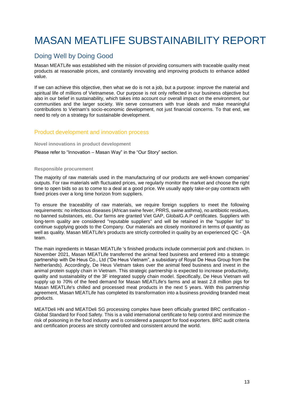# <span id="page-13-0"></span>MASAN MEATLIFE SUBSTAINABILITY REPORT

# <span id="page-13-1"></span>Doing Well by Doing Good

Masan MEATLife was established with the mission of providing consumers with traceable quality meat products at reasonable prices, and constantly innovating and improving products to enhance added value.

If we can achieve this objective, then what we do is not a job, but a purpose: improve the material and spiritual life of millions of Vietnamese. Our purpose is not only reflected in our business objective but also in our belief in sustainability, which takes into account our overall impact on the environment, our communities and the larger society. We serve consumers with true ideals and make meaningful contributions to Vietnam's socio-economic development, not just financial concerns. To that end, we need to rely on a strategy for sustainable development.

## <span id="page-13-2"></span>Product development and innovation process

#### **Novel innovations in product development**

Please refer to "Innovation – Masan Way" in the "Our Story" section.

#### **Responsible procurement**

The majority of raw materials used in the manufacturing of our products are well-known companies' outputs. For raw materials with fluctuated prices, we regularly monitor the market and choose the right time to open bids so as to come to a deal at a good price. We usually apply take-or-pay contracts with fixed prices over a long time horizon from suppliers.

To ensure the traceability of raw materials, we require foreign suppliers to meet the following requirements: no infectious diseases (African swine fever, PRRS, swine asthma), no antibiotic residues, no banned substances, etc. Our farms are granted Viet GAP, GlobalG.A.P certificates. Suppliers with long-term quality are considered "reputable suppliers" and will be retained in the "supplier list" to continue supplying goods to the Company. Our materials are closely monitored in terms of quantity as well as quality. Masan MEATLife's products are strictly controlled in quality by an experienced QC - QA team.

The main ingredients in Masan MEATLife 's finished products include commercial pork and chicken. **In**  November 2021, Masan MEATLife transferred the animal feed business and entered into a strategic partnership with De Heus Co., Ltd ("De Heus Vietnam", a subsidiary of Royal De Heus Group from the Netherlands). Accordingly, De Heus Vietnam takes over the animal feed business and invest in the animal protein supply chain in Vietnam. This strategic partnership is expected to increase productivity, quality and sustainability of the 3F integrated supply chain model. Specifically, De Heus Vietnam will supply up to 70% of the feed demand for Masan MEATLife's farms and at least 2.8 million pigs for Masan MEATLife's chilled and processed meat products in the next 5 years. With this partnership agreement, Masan MEATLife has completed its transformation into a business providing branded meat products.

MEATDeli HN and MEATDeli SG processing complex have been officially granted BRC certification - Global Standard for Food Safety. This is a valid international certificate to help control and minimize the risk of poisoning in the food industry and is considered a passport for food exporters. BRC audit criteria and certification process are strictly controlled and consistent around the world.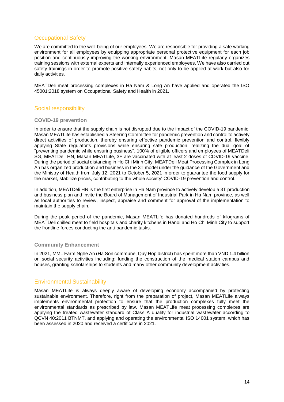## <span id="page-14-0"></span>Occupational Safety

We are committed to the well-being of our employees. We are responsible for providing a safe working environment for all employees by equipping appropriate personal protective equipment for each job position and continuously improving the working environment. Masan MEATLife regularly organizes training sessions with external experts and internally experienced employees. We have also carried out safety trainings in order to promote positive safety habits, not only to be applied at work but also for daily activities.

MEATDeli meat processing complexes in Ha Nam & Long An have applied and operated the ISO 45001:2018 system on Occupational Safety and Health in 2021.

## <span id="page-14-1"></span>Social responsibility

#### **COVID-19 prevention**

In order to ensure that the supply chain is not disrupted due to the impact of the COVID-19 pandemic, Masan MEATLife has established a Steering Committee for pandemic prevention and control to actively direct activities of production, thereby ensuring effective pandemic prevention and control, flexibly applying State regulator's provisions while ensuring safe production, realizing the dual goal of "preventing pandemic while ensuring business". 100% of eligible officers and employees of MEATDeli SG, MEATDeli HN, Masan MEATLife, 3F are vaccinated with at least 2 doses of COVID-19 vaccine. During the period of social distancing in Ho Chi Minh City, MEATDeli Meat Processing Complex in Long An has organized production and business in the 3T model under the guidance of the Government and the Ministry of Health from July 12, 2021 to October 5, 2021 in order to guarantee the food supply for the market, stabilize prices, contributing to the whole society' COVID-19 prevention and control.

In addition, MEATDeli HN is the first enterprise in Ha Nam province to actively develop a 3T production and business plan and invite the Board of Management of Industrial Park in Ha Nam province, as well as local authorities to review, inspect, appraise and comment for approval of the implementation to maintain the supply chain.

During the peak period of the pandemic, Masan MEATLife has donated hundreds of kilograms of MEATDeli chilled meat to field hospitals and charity kitchens in Hanoi and Ho Chi Minh City to support the frontline forces conducting the anti-pandemic tasks.

#### **Community Enhancement**

In 2021, MML Farm Nghe An (Ha Son commune, Quy Hop district) has spent more than VND 1.4 billion on social security activities including: funding the construction of the medical station campus and houses, granting scholarships to students and many other community development activities.

## <span id="page-14-2"></span>Environmental Sustainability

Masan MEATLife is always deeply aware of developing economy accompanied by protecting sustainable environment. Therefore, right from the preparation of project, Masan MEATLife always implements environmental protection to ensure that the production complexes fully meet the environmental standards as prescribed by law. Masan MEATLife meat processing complexes are applying the treated wastewater standard of Class A quality for industrial wastewater according to QCVN 40:2011 BTNMT, and applying and operating the environmental ISO 14001 system, which has been assessed in 2020 and received a certificate in 2021.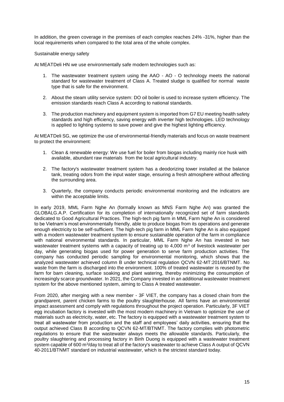In addition, the green coverage in the premises of each complex reaches 24% -31%, higher than the local requirements when compared to the total area of the whole complex.

Sustainable energy safety

At MEATDeli HN we use environmentally safe modern technologies such as:

- 1. The wastewater treatment system using the AAO AO O technology meets the national standard for wastewater treatment of Class A. Treated sludge is qualified for normal waste type that is safe for the environment.
- 2. About the steam utility service system: DO oil boiler is used to increase system efficiency. The emission standards reach Class A according to national standards.
- 3. The production machinery and equipment system is imported from G7 EU meeting health safety standards and high efficiency, saving energy with inverter high technologies. LED technology is applied to lighting systems to save power and give the highest lighting efficiency.

At MEATDeli SG, we optimize the use of environmental-friendly materials and focus on waste treatment to protect the environment:

- 1. Clean & renewable energy: We use fuel for boiler from biogas including mainly rice husk with available, abundant raw materials from the local agricultural industry.
- 2. The factory's wastewater treatment system has a deodorizing tower installed at the balance tank, treating odors from the input water stage, ensuring a fresh atmosphere without affecting the surrounding area.
- 3. Quarterly, the company conducts periodic environmental monitoring and the indicators are within the acceptable limits.

In early 2019, MML Farm Nghe An (formally known as MNS Farm Nghe An) was granted the GLOBALG.A.P. Certification for its completion of internationally recognized set of farm standards dedicated to Good Agricultural Practices. The high-tech pig farm in MML Farm Nghe An is considered to be Vietnam's most environmentally friendly, able to produce biogas from its operations and generate enough electricity to be self-sufficient. The high-tech pig farm in MML Farm Nghe An is also equipped with a modern wastewater treatment system to ensure sustainable operation of the farm in compliance with national environmental standards. In particular, MML Farm Nghe An has invested in two wastewater treatment systems with a capacity of treating up to  $4,000$  m<sup>3</sup> of livestock wastewater per day, while generating biogas used for power generation to serve farm production activities. The company has conducted periodic sampling for environmental monitoring, which shows that the analyzed wastewater achieved column B under technical regulation QCVN 62-MT:2016/BTNMT. No waste from the farm is discharged into the environment. 100% of treated wastewater is reused by the farm for barn cleaning, surface soaking and plant watering, thereby minimizing the consumption of increasingly scarce groundwater. In 2021, the Company invested in an additional wastewater treatment system for the above mentioned system, aiming to Class A treated wastewater.

From 2020, after merging with a new member - 3F VIET, the company has a closed chain from the grandparent, parent chicken farms to the poultry slaughterhouse. All farms have an environmental impact assessment and comply with regulations throughout the project operation. Particularly, 3F VIET egg incubation factory is invested with the most modern machinery in Vietnam to optimize the use of materials such as electricity, water, etc. The factory is equipped with a wastewater treatment system to treat all wastewater from production and the staff and employees' daily activities, ensuring that the output achieved Class B according to QCVN 62-MT/BTNMT. The factory complies with photometric regulations to ensure that the wastewater always meets the allowable standards. Particularly, the poultry slaughtering and processing factory in Binh Duong is equipped with a wastewater treatment system capable of 600 m<sup>3</sup>/day to treat all of the factory's wastewater to achieve Class A output of QCVN 40-2011/BTNMT standard on industrial wastewater, which is the strictest standard today.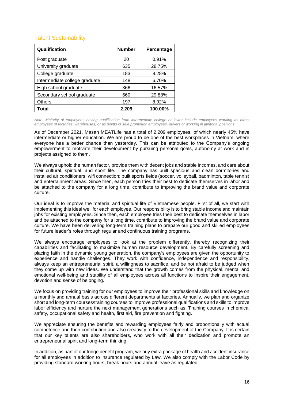## <span id="page-16-0"></span>Talent Sustainability

| Qualification                 | <b>Number</b> | Percentage |
|-------------------------------|---------------|------------|
| Post graduate                 | 20            | 0.91%      |
| University graduate           | 635           | 28.75%     |
| College graduate              | 183           | 8.28%      |
| Intermediate college graduate | 148           | 6.70%      |
| High school graduate          | 366           | 16.57%     |
| Secondary school graduate     | 660           | 29.88%     |
| <b>Others</b>                 | 197           | 8.92%      |
| Total                         | 2,209         | 100.00%    |

*Note: Majority of employees having qualification from intermediate college or lower include employees working as direct employees of factories, warehouses, or as points of sale promotion employees, drivers or working in janitorial positions.*

As of December 2021, Masan MEATLife has a total of 2,209 employees, of which nearly 45% have intermediate or higher education. We are proud to be one of the best workplaces in Vietnam, where everyone has a better chance than yesterday. This can be attributed to the Company's ongoing empowerment to motivate their development by pursuing personal goals, autonomy at work and in projects assigned to them.

We always uphold the human factor, provide them with decent jobs and stable incomes, and care about their cultural, spiritual, and sport life. The company has built spacious and clean dormitories and installed air conditioners, wifi connection; built sports fields (soccer, volleyball, badminton, table tennis) and entertainment areas. Since then, each person tries their best to dedicate themselves in labor and be attached to the company for a long time, contribute to improving the brand value and corporate culture.

Our ideal is to improve the material and spiritual life of Vietnamese people. First of all, we start with implementing this ideal well for each employee. Our responsibility is to bring stable income and maintain jobs for existing employees. Since then, each employee tries their best to dedicate themselves in labor and be attached to the company for a long time, contribute to improving the brand value and corporate culture. We have been delivering long-term training plans to prepare our good and skilled employees for future leader's roles through regular and continuous training programs.

We always encourage employees to look at the problem differently, thereby recognizing their capabilities and facilitating to maximize human resource development. By carefully screening and placing faith in the dynamic young generation, the company's employees are given the opportunity to experience and handle challenges. They work with confidence, independence and responsibility, always keep an entrepreneurial spirit, a willingness to sacrifice, and be not afraid to be judged when they come up with new ideas. We understand that the growth comes from the physical, mental and emotional well-being and stability of all employees across all functions to inspire their engagement, devotion and sense of belonging.

We focus on providing training for our employees to improve their professional skills and knowledge on a monthly and annual basis across different departments at factories. Annually, we plan and organize short and long-term courses/training courses to improve professional qualifications and skills to improve labor efficiency and nurture the next management generations such as: Training courses in chemical safety, occupational safety and health, first aid, fire prevention and fighting.

We appreciate ensuring the benefits and rewarding employees fairly and proportionally with actual competence and their contribution and also creativity to the development of the Company. It is certain that our key talents are also shareholders, who work with all their dedication and promote an entrepreneurial spirit and long-term thinking.

In addition, as part of our fringe benefit program, we buy extra package of health and accident insurance for all employees in addition to insurance regulated by Law. We also comply with the Labor Code by providing standard working hours, break hours and annual leave as regulated.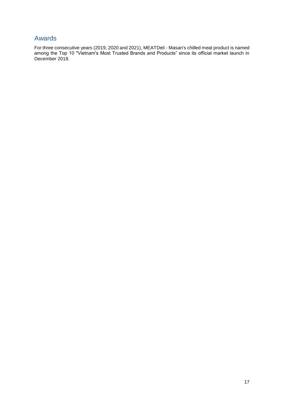# <span id="page-17-0"></span>Awards

For three consecutive years (2019, 2020 and 2021), MEATDeli - Masan's chilled meat product is named among the Top 10 "Vietnam's Most Trusted Brands and Products" since its official market launch in December 2018.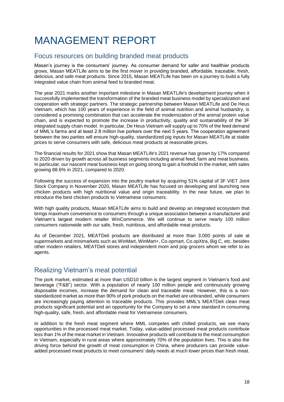# <span id="page-18-0"></span>MANAGEMENT REPORT

## <span id="page-18-1"></span>Focus resources on building branded meat products

Masan's journey is the consumers' journey. As consumer demand for safer and healthier products grows, Masan MEATLife aims to be the first mover in providing branded, affordable, traceable, fresh, delicious, and safe meat products. Since 2015, Masan MEATLife has been on a journey to build a fully integrated value chain from animal feed to branded meat.

The year 2021 marks another important milestone in Masan MEATLife's development journey when it successfully implemented the transformation of the branded meat business model by specialization and cooperation with strategic partners. The strategic partnership between Masan MEATLife and De Heus Vietnam, which has 100 years of experience in the field of animal nutrition and animal husbandry, is considered a promising combination that can accelerate the modernization of the animal protein value chain, and is expected to promote the increase in productivity, quality and sustainability of the 3F integrated supply chain model. In particular, De Heus Vietnam will supply up to 70% of the feed demand of MML's farms and at least 2.8 million live porkers over the next 5 years. The cooperation agreement between the two parties will ensure high-quality, standardized pig inputs for Masan MEATLife at stable prices to serve consumers with safe, delicious meat products at reasonable prices.

The financial results for 2021 show that Masan MEATLife's 2021 revenue has grown by 17% compared to 2020 driven by growth across all business segments including animal feed, farm and meat business. In particular, our nascent meat business kept on going strong to gain a foothold in the market, with sales growing 88.6% in 2021, compared to 2020.

Following the success of expansion into the poultry market by acquiring 51% capital of 3F VIET Joint Stock Company in November 2020, Masan MEATLife has focused on developing and launching new chicken products with high nutritional value and origin traceability. In the near future, we plan to introduce the best chicken products to Vietnamese consumers.

With high quality products, Masan MEATLife aims to build and develop an integrated ecosystem that brings maximum convenience to consumers through a unique association between a manufacturer and Vietnam's largest modern retailer WinCommerce. We will continue to serve nearly 100 million consumers nationwide with our safe, fresh, nutritious, and affordable meat products.

As of December 2021, MEATDeli products are distributed at more than 3,000 points of sale at supermarkets and minimarkets such as WinMart, WinMart+, Co.opmart, Co.opXtra, Big C, etc. besides other modern retailers, MEATDeli stores and independent mom and pop grocers whom we refer to as agents.

# <span id="page-18-2"></span>Realizing Vietnam's meat potential

The pork market, estimated at more than USD10 billion is the largest segment in Vietnam's food and beverage ("F&B") sector. With a population of nearly 100 million people and continuously growing disposable incomes, increase the demand for clean and traceable meat. However, this is a nonstandardized market as more than 90% of pork products on the market are unbranded, while consumers are increasingly paying attention to traceable products. This provides MML's MEATDeli clean meat products significant potential and an opportunity for the Company to set a new standard in consuming high-quality, safe, fresh, and affordable meat for Vietnamese consumers.

In addition to the fresh meat segment where MML competes with chilled products, we see many opportunities in the processed meat market. Today, value-added processed meat products contribute less than 1% of the meat market in Vietnam. Innovative products will contribute to the meat consumption in Vietnam, especially in rural areas where approximately 70% of the population lives. This is also the driving force behind the growth of meat consumption in China, where producers can provide valueadded processed meat products to meet consumers' daily needs at much lower prices than fresh meat.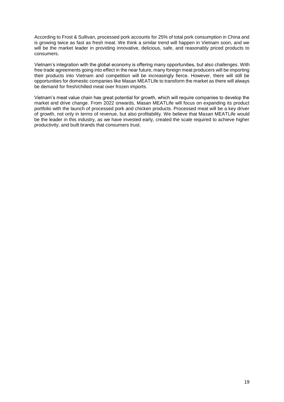According to Frost & Sullivan, processed pork accounts for 25% of total pork consumption in China and is growing twice as fast as fresh meat. We think a similar trend will happen in Vietnam soon, and we will be the market leader in providing innovative, delicious, safe, and reasonably priced products to consumers.

Vietnam's integration with the global economy is offering many opportunities, but also challenges. With free trade agreements going into effect in the near future, many foreign meat producers will be importing their products into Vietnam and competition will be increasingly fierce. However, there will still be opportunities for domestic companies like Masan MEATLife to transform the market as there will always be demand for fresh/chilled meat over frozen imports.

Vietnam's meat value chain has great potential for growth, which will require companies to develop the market and drive change. From 2022 onwards, Masan MEATLife will focus on expanding its product portfolio with the launch of processed pork and chicken products. Processed meat will be a key driver of growth, not only in terms of revenue, but also profitability. We believe that Masan MEATLife would be the leader in this industry, as we have invested early, created the scale required to achieve higher productivity, and built brands that consumers trust.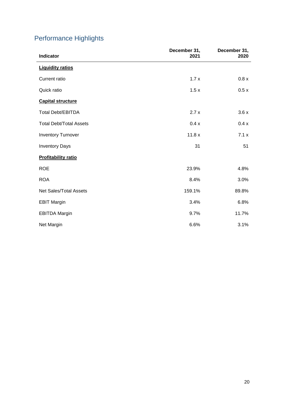# <span id="page-20-0"></span>Performance Highlights

| Indicator                      | December 31,<br>2021 | December 31,<br>2020 |
|--------------------------------|----------------------|----------------------|
| <b>Liquidity ratios</b>        |                      |                      |
| Current ratio                  | 1.7x                 | 0.8 x                |
| Quick ratio                    | 1.5x                 | 0.5x                 |
| <b>Capital structure</b>       |                      |                      |
| <b>Total Debt/EBITDA</b>       | 2.7x                 | 3.6x                 |
| <b>Total Debt/Total Assets</b> | 0.4x                 | 0.4x                 |
| <b>Inventory Turnover</b>      | 11.8x                | 7.1x                 |
| <b>Inventory Days</b>          | 31                   | 51                   |
| <b>Profitability ratio</b>     |                      |                      |
| <b>ROE</b>                     | 23.9%                | 4.8%                 |
| <b>ROA</b>                     | 8.4%                 | 3.0%                 |
| <b>Net Sales/Total Assets</b>  | 159.1%               | 89.8%                |
| <b>EBIT Margin</b>             | 3.4%                 | 6.8%                 |
| <b>EBITDA Margin</b>           | 9.7%                 | 11.7%                |
| Net Margin                     | 6.6%                 | 3.1%                 |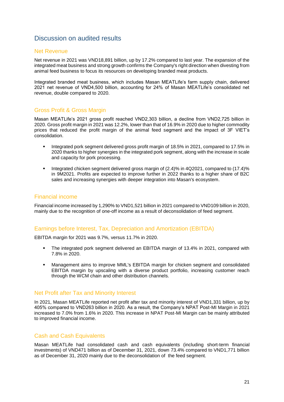# <span id="page-21-0"></span>Discussion on audited results

#### <span id="page-21-1"></span>Net Revenue

Net revenue in 2021 was VND18,891 billion, up by 17.2% compared to last year. The expansion of the integrated meat business and strong growth confirms the Company's right direction when divesting from animal feed business to focus its resources on developing branded meat products.

Integrated branded meat business, which includes Masan MEATLife's farm supply chain, delivered 2021 net revenue of VND4,500 billion, accounting for 24% of Masan MEATLife's consolidated net revenue, double compared to 2020.

## <span id="page-21-2"></span>Gross Profit & Gross Margin

Masan MEATLife's 2021 gross profit reached VND2,303 billion, a decline from VND2,725 billion in 2020. Gross profit margin in 2021 was 12.2%, lower than that of 16.9% in 2020 due to higher commodity prices that reduced the profit margin of the animal feed segment and the impact of 3F VIET's consolidation.

- Integrated pork segment delivered gross profit margin of 18.5% in 2021, compared to 17.5% in 2020 thanks to higher synergies in the integrated pork segment, along with the increase in scale and capacity for pork processing.
- Integrated chicken segment delivered gross margin of (2.4)% in 4Q2021, compared to (17.4)% in 9M2021. Profits are expected to improve further in 2022 thanks to a higher share of B2C sales and increasing synergies with deeper integration into Masan's ecosystem.

## <span id="page-21-3"></span>Financial income

Financial income increased by 1,290% to VND1,521 billion in 2021 compared to VND109 billion in 2020, mainly due to the recognition of one-off income as a result of deconsolidation of feed segment.

#### <span id="page-21-4"></span>Earnings before Interest, Tax, Depreciation and Amortization (EBITDA)

EBITDA margin for 2021 was 9.7%, versus 11.7% in 2020.

- The integrated pork segment delivered an EBITDA margin of 13.4% in 2021, compared with 7.8% in 2020.
- Management aims to improve MML's EBITDA margin for chicken segment and consolidated EBITDA margin by upscaling with a diverse product portfolio, increasing customer reach through the WCM chain and other distribution channels.

#### <span id="page-21-5"></span>Net Profit after Tax and Minority Interest

In 2021, Masan MEATLife reported net profit after tax and minority interest of VND1,331 billion, up by 405% compared to VND263 billion in 2020. As a result, the Company's NPAT Post-MI Margin in 2021 increased to 7.0% from 1.6% in 2020. This increase in NPAT Post-MI Margin can be mainly attributed to improved financial income.

#### <span id="page-21-6"></span>Cash and Cash Equivalents

Masan MEATLife had consolidated cash and cash equivalents (including short-term financial investments) of VND471 billion as of December 31, 2021, down 73.4% compared to VND1,771 billion as of December 31, 2020 mainly due to the deconsolidation of the feed segment.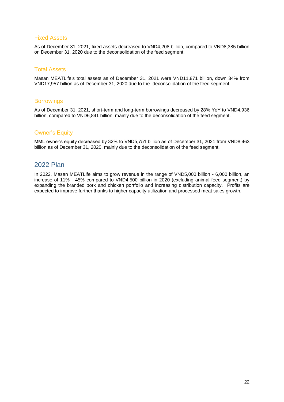#### <span id="page-22-0"></span>Fixed Assets

As of December 31, 2021, fixed assets decreased to VND4,208 billion, compared to VND8,385 billion on December 31, 2020 due to the deconsolidation of the feed segment.

#### <span id="page-22-1"></span>Total Assets

Masan MEATLife's total assets as of December 31, 2021 were VND11,871 billion, down 34% from VND17,957 billion as of December 31, 2020 due to the deconsolidation of the feed segment.

#### <span id="page-22-2"></span>**Borrowings**

As of December 31, 2021, short-term and long-term borrowings decreased by 28% YoY to VND4,936 billion, compared to VND6,841 billion, mainly due to the deconsolidation of the feed segment.

#### <span id="page-22-3"></span>Owner's Equity

MML owner's equity decreased by 32% to VND5,751 billion as of December 31, 2021 from VND8,463 billion as of December 31, 2020, mainly due to the deconsolidation of the feed segment.

## <span id="page-22-4"></span>2022 Plan

In 2022, Masan MEATLife aims to grow revenue in the range of VND5,000 billion - 6,000 billion, an increase of 11% - 45% compared to VND4,500 billion in 2020 (excluding animal feed segment) by expanding the branded pork and chicken portfolio and increasing distribution capacity. Profits are expected to improve further thanks to higher capacity utilization and processed meat sales growth.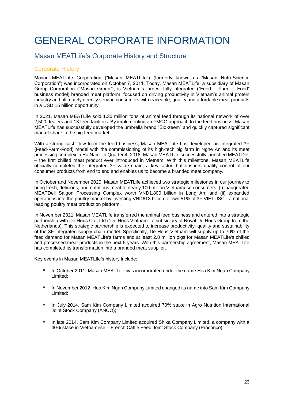# <span id="page-23-0"></span>GENERAL CORPORATE INFORMATION

# <span id="page-23-1"></span>Masan MEATLife's Corporate History and Structure

## <span id="page-23-2"></span>Corporate History

Masan MEATLife Corporation ("Masan MEATLife") (formerly known as "Masan Nutri-Science Corporation") was incorporated on October 7, 2011. Today, Masan MEATLife, a subsidiary of Masan Group Corporation ("Masan Group"), is Vietnam's largest fully-integrated ("Feed – Farm – Food" business model) branded meat platform, focused on driving productivity in Vietnam's animal protein industry and ultimately directly serving consumers with traceable, quality and affordable meat products in a USD 15 billion opportunity.

In 2021, Masan MEATLife sold 1.35 million tons of animal feed through its national network of over 2,500 dealers and 13 feed facilities. By implementing an FMCG approach to the feed business, Masan MEATLife has successfully developed the umbrella brand "Bio-zeem" and quickly captured significant market share in the pig feed market.

With a strong cash flow from the feed business, Masan MEATLife has developed an integrated 3F (Feed-Farm-Food) model with the commissioning of its high-tech pig farm in Nghe An and its meat processing complex in Ha Nam. In Quarter 4, 2018, Masan MEATLife successfully launched MEATDeli – the first chilled meat product ever introduced in Vietnam. With this milestone, Masan MEATLife officially completed the integrated 3F value chain, a key factor that ensures quality control of our consumer products from end to end and enables us to become a branded meat company.

In October and November 2020, Masan MEATLife achieved two strategic milestones in our journey to bring fresh, delicious, and nutritious meat to nearly 100 million Vietnamese consumers: (i) inaugurated MEATDeli Saigon Processing Complex worth VND1,800 billion in Long An; and (ii) expanded operations into the poultry market by investing VND613 billion to own 51% of 3F VIET JSC - a national leading poultry meat production platform.

In November 2021, Masan MEATLife transferred the animal feed business and entered into a strategic partnership with De Heus Co., Ltd ("De Heus Vietnam", a subsidiary of Royal De Heus Group from the Netherlands). This strategic partnership is expected to increase productivity, quality and sustainability of the 3F integrated supply chain model. Specifically, De Heus Vietnam will supply up to 70% of the feed demand for Masan MEATLife's farms and at least 2.8 million pigs for Masan MEATLife's chilled and processed meat products in the next 5 years. With this partnership agreement, Masan MEATLife has completed its transformation into a branded meat supplier.

Key events in Masan MEATLife's history include:

- **IDED 12012** In October 2011, Masan MEATLife was incorporated under the name Hoa Kim Ngan Company Limited;
- **IDED 10.5 In November 2012, Hoa Kim Ngan Company Limited changed its name into Sam Kim Company** Limited;
- **In July 2014, Sam Kim Company Limited acquired 70% stake in Agro Nutrition International** Joint Stock Company (ANCO);
- In late 2014, Sam Kim Company Limited acquired Shika Company Limited, a company with a 40% stake in Vietnamese – French Cattle Feed Joint Stock Company (Proconco);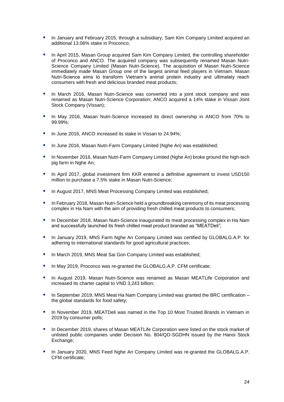- **IDED** In January and February 2015, through a subsidiary, Sam Kim Company Limited acquired an additional 13.06% stake in Proconco;
- **IDED April 2015, Masan Group acquired Sam Kim Company Limited, the controlling shareholder** of Proconco and ANCO. The acquired company was subsequently renamed Masan Nutri-Science Company Limited (Masan Nutri-Science). The acquisition of Masan Nutri-Science immediately made Masan Group one of the largest animal feed players in Vietnam. Masan Nutri-Science aims to transform Vietnam's animal protein industry and ultimately reach consumers with fresh and delicious branded meat products;
- In March 2016, Masan Nutri-Science was converted into a joint stock company and was renamed as Masan Nutri-Science Corporation; ANCO acquired a 14% stake in Vissan Joint Stock Company (Vissan);
- In May 2016, Masan Nutri-Science increased its direct ownership in ANCO from 70% to 99.99%;
- In June 2016, ANCO increased its stake in Vissan to 24.94%;
- In June 2016, Masan Nutri-Farm Company Limited (Nghe An) was established:
- **In November 2016, Masan Nutri-Farm Company Limited (Nghe An) broke ground the high-tech** pig farm in Nghe An;
- **In April 2017, global investment firm KKR entered a definitive agreement to invest USD150** million to purchase a 7.5% stake in Masan Nutri-Science;
- **In August 2017, MNS Meat Processing Company Limited was established;**
- **In February 2018, Masan Nutri-Science held a groundbreaking ceremony of its meat processing** complex in Ha Nam with the aim of providing fresh chilled meat products to consumers;
- **In December 2018, Masan Nutri-Science inaugurated its meat processing complex in Ha Nam** and successfully launched its fresh chilled meat product branded as "MEATDeli";
- **In January 2019, MNS Farm Nghe An Company Limited was certified by GLOBALG.A.P. for** adhering to international standards for good agricultural practices;
- In March 2019, MNS Meat Sai Gon Company Limited was established;
- In May 2019, Proconco was re-granted the GLOBALG.A.P. CFM certificate:
- In August 2019, Masan Nutri-Science was renamed as Masan MEATLife Corporation and increased its charter capital to VND 3,243 billion;
- $\blacksquare$  In September 2019, MNS Meat Ha Nam Company Limited was granted the BRC certification the global standards for food safety;
- **IDED** In November 2019, MEATDeli was named in the Top 10 Most Trusted Brands in Vietnam in 2019 by consumer polls;
- **In December 2019, shares of Masan MEATLife Corporation were listed on the stock market of** unlisted public companies under Decision No. 804/QD-SGDHN issued by the Hanoi Stock Exchange:
- In January 2020, MNS Feed Nghe An Company Limited was re-granted the GLOBALG.A.P. CFM certificate;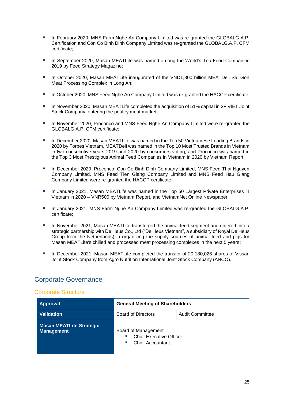- In February 2020, MNS Farm Nghe An Company Limited was re-granted the GLOBALG.A.P. Certification and Con Co Binh Dinh Company Limited was re-granted the GLOBALG.A.P. CFM certificate;
- In September 2020, Masan MEATLife was named among the World's Top Feed Companies 2019 by Feed Strategy Magazine;
- In October 2020, Masan MEATLife inaugurated of the VND1,800 billion MEATDeli Sai Gon Meat Processing Complex in Long An;
- **In October 2020, MNS Feed Nghe An Company Limited was re-granted the HACCP certificate:**
- In November 2020, Masan MEATLife completed the acquisition of 51% capital in 3F VIET Joint Stock Company, entering the poultry meat market;
- In November 2020, Proconco and MNS Feed Nghe An Company Limited were re-granted the GLOBALG.A.P. CFM certificate;
- **IDED 10.50 In December 2020, Masan MEATLife was named in the Top 50 Vietnamese Leading Brands in** 2020 by Forbes Vietnam, MEATDeli was named in the Top 10 Most Trusted Brands in Vietnam in two consecutive years 2019 and 2020 by consumers voting, and Proconco was named in the Top 3 Most Prestigious Animal Feed Companies in Vietnam in 2020 by Vietnam Report;
- **In December 2020, Proconco, Con Co Binh Dinh Company Limited, MNS Feed Thai Nguyen** Company Limited, MNS Feed Tien Giang Company Limited and MNS Feed Hau Giang Company Limited were re-granted the HACCP certificate;
- **IDED 10. In January 2021, Masan MEATLife was named in the Top 50 Largest Private Enterprises in** Vietnam in 2020 – VNR500 by Vietnam Report, and VietnamNet Online Newspaper;
- In January 2021, MNS Farm Nghe An Company Limited was re-granted the GLOBALG.A.P. certificate;
- In November 2021, Masan MEATLife transferred the animal feed segment and entered into a strategic partnership with De Heus Co., Ltd ("De Heus Vietnam", a subsidiary of Royal De Heus Group from the Netherlands) in organizing the supply sources of animal feed and pigs for Masan MEATLife's chilled and processed meat processing complexes in the next 5 years;
- In December 2021, Masan MEATLife completed the transfer of 20,180,026 shares of Vissan Joint Stock Company from Agro Nutrition International Joint Stock Company (ANCO).

## <span id="page-25-0"></span>Corporate Governance

#### <span id="page-25-1"></span>Corporate Structure

| <b>Approval</b>                                      | <b>General Meeting of Shareholders</b>                                                      |                        |
|------------------------------------------------------|---------------------------------------------------------------------------------------------|------------------------|
| <b>Validation</b>                                    | <b>Board of Directors</b>                                                                   | <b>Audit Committee</b> |
| <b>Masan MEATLife Strategic</b><br><b>Management</b> | Board of Management<br><b>Chief Executive Officer</b><br>×.<br><b>Chief Accountant</b><br>× |                        |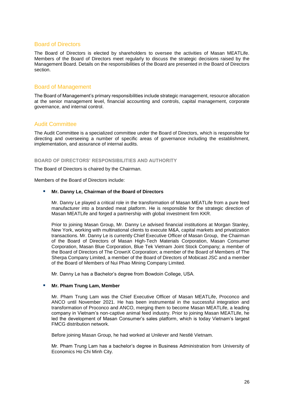#### <span id="page-26-0"></span>Board of Directors

The Board of Directors is elected by shareholders to oversee the activities of Masan MEATLife. Members of the Board of Directors meet regularly to discuss the strategic decisions raised by the Management Board. Details on the responsibilities of the Board are presented in the Board of Directors section.

### <span id="page-26-1"></span>Board of Management

The Board of Management's primary responsibilities include strategic management, resource allocation at the senior management level, financial accounting and controls, capital management, corporate governance, and internal control.

#### <span id="page-26-2"></span>Audit Committee

The Audit Committee is a specialized committee under the Board of Directors, which is responsible for directing and overseeing a number of specific areas of governance including the establishment, implementation, and assurance of internal audits.

#### **BOARD OF DIRECTORS' RESPONSIBILITIES AND AUTHORITY**

The Board of Directors is chaired by the Chairman.

Members of the Board of Directors include:

#### **Mr. Danny Le, Chairman of the Board of Directors**

Mr. Danny Le played a critical role in the transformation of Masan MEATLife from a pure feed manufacturer into a branded meat platform. He is responsible for the strategic direction of Masan MEATLife and forged a partnership with global investment firm KKR.

Prior to joining Masan Group, Mr. Danny Le advised financial institutions at Morgan Stanley, New York, working with multinational clients to execute M&A, capital markets and privatization transactions. Mr. Danny Le is currently Chief Executive Officer of Masan Group, the Chairman of the Board of Directors of Masan High-Tech Materials Corporation, Masan Consumer Corporation, Masan Blue Corporation, Blue Tek Vietnam Joint Stock Company; a member of the Board of Directors of The CrownX Corporation; a member of the Board of Members of The Sherpa Company Limited, a member of the Board of Directors of Mobicast JSC and a member of the Board of Members of Nui Phao Mining Company Limited.

Mr. Danny Le has a Bachelor's degree from Bowdoin College, USA.

#### **Mr. Pham Trung Lam, Member**

Mr. Pham Trung Lam was the Chief Executive Officer of Masan MEATLife, Proconco and ANCO until November 2021. He has been instrumental in the successful integration and transformation of Proconco and ANCO, merging them to become Masan MEATLife, a leading company in Vietnam's non-captive animal feed industry. Prior to joining Masan MEATLife, he led the development of Masan Consumer's sales platform, which is today Vietnam's largest FMCG distribution network.

Before joining Masan Group, he had worked at Unilever and Nestlé Vietnam.

Mr. Pham Trung Lam has a bachelor's degree in Business Administration from University of Economics Ho Chi Minh City.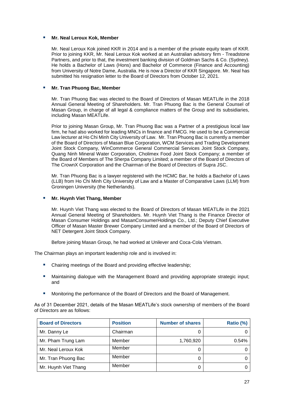#### **Mr. Neal Leroux Kok, Member**

Mr. Neal Leroux Kok joined KKR in 2014 and is a member of the private equity team of KKR. Prior to joining KKR, Mr. Neal Leroux Kok worked at an Australian advisory firm - Treadstone Partners, and prior to that, the investment banking division of Goldman Sachs & Co. (Sydney). He holds a Bachelor of Laws (Hons) and Bachelor of Commerce (Finance and Accounting) from University of Notre Dame, Australia. He is now a Director of KKR Singapore. Mr. Neal has submitted his resignation letter to the Board of Directors from October 12, 2021.

#### **Mr. Tran Phuong Bac, Member**

Mr. Tran Phuong Bac was elected to the Board of Directors of Masan MEATLife in the 2018 Annual General Meeting of Shareholders. Mr. Tran Phuong Bac is the General Counsel of Masan Group, in charge of all legal & compliance matters of the Group and its subsidiaries, including Masan MEATLife.

Prior to joining Masan Group, Mr. Tran Phuong Bac was a Partner of a prestigious local law firm, he had also worked for leading MNCs in finance and FMCG. He used to be a Commercial Law lecturer at Ho Chi Minh City University of Law. Mr. Tran Phuong Bac is currently a member of the Board of Directors of Masan Blue Corporation, WCM Services and Trading Development Joint Stock Company, WinCommerce General Commercial Services Joint Stock Company, Quang Ninh Mineral Water Corporation, Cholimex Food Joint Stock Company; a member of the Board of Members of The Sherpa Company Limited; a member of the Board of Directors of The CrownX Corporation and the Chairman of the Board of Directors of Supra JSC.

Mr. Tran Phuong Bac is a lawyer registered with the HCMC Bar, he holds a Bachelor of Laws (LLB) from Ho Chi Minh City University of Law and a Master of Comparative Laws (LLM) from Groningen University (the Netherlands).

#### **Mr. Huynh Viet Thang, Member**

Mr. Huynh Viet Thang was elected to the Board of Directors of Masan MEATLife in the 2021 Annual General Meeting of Shareholders. Mr. Huynh Viet Thang is the Finance Director of Masan Consumer Holdings and MasanConsumerHoldings Co., Ltd.; Deputy Chief Executive Officer of Masan Master Brewer Company Limited and a member of the Board of Directors of NET Detergent Joint Stock Company.

Before joining Masan Group, he had worked at Unilever and Coca-Cola Vietnam.

The Chairman plays an important leadership role and is involved in:

- Chairing meetings of the Board and providing effective leadership;
- Maintaining dialogue with the Management Board and providing appropriate strategic input; and
- Monitoring the performance of the Board of Directors and the Board of Management.

As of 31 December 2021, details of the Masan MEATLife's stock ownership of members of the Board of Directors are as follows:

| <b>Board of Directors</b> | <b>Position</b> | <b>Number of shares</b> | Ratio (%) |
|---------------------------|-----------------|-------------------------|-----------|
| Mr. Danny Le              | Chairman        |                         |           |
| Mr. Pham Trung Lam        | Member          | 1,760,920               | 0.54%     |
| Mr. Neal Leroux Kok       | Member          |                         |           |
| Mr. Tran Phuong Bac       | Member          |                         |           |
| Mr. Huynh Viet Thang      | Member          |                         |           |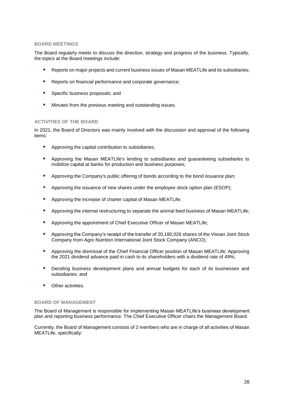#### **BOARD MEETINGS**

The Board regularly meets to discuss the direction, strategy and progress of the business. Typically, the topics at the Board meetings include:

- Reports on major projects and current business issues of Masan MEATLife and its subsidiaries;
- Reports on financial performance and corporate governance:
- **Specific business proposals; and**
- **Minutes from the previous meeting and outstanding issues.**

#### **ACTIVITIES OF THE BOARD**

In 2021, the Board of Directors was mainly involved with the discussion and approval of the following items:

- **Approving the capital contribution to subsidiaries;**
- **Approving the Masan MEATLife's lending to subsidiaries and guaranteeing subsidiaries to** mobilize capital at banks for production and business purposes;
- **Approving the Company's public offering of bonds according to the bond issuance plan:**
- Approving the issuance of new shares under the employee stock option plan (ESOP);
- **Approving the increase of charter capital of Masan MEATLife;**
- Approving the internal restructuring to separate the animal feed business of Masan MEATLife;
- **Approving the appointment of Chief Executive Officer of Masan MEATLife;**
- **Approving the Company's receipt of the transfer of 20,180,026 shares of the Vissan Joint Stock** Company from Agro Nutrition International Joint Stock Company (ANCO);
- Approving the dismissal of the Chief Financial Officer position of Masan MEATLife; Approving the 2021 dividend advance paid in cash to its shareholders with a dividend rate of 49%;
- **•** Deciding business development plans and annual budgets for each of its businesses and subsidiaries; and
- **Didena** Other activities

#### **BOARD OF MANAGEMENT**

The Board of Management is responsible for implementing Masan MEATLife's business development plan and reporting business performance. The Chief Executive Officer chairs the Management Board.

Currently, the Board of Management consists of 2 members who are in charge of all activities of Masan MEATLife, specifically: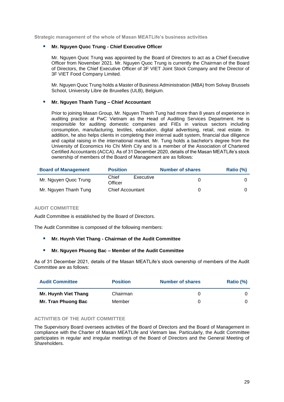**Strategic management of the whole of Masan MEATLife's business activities**

#### **Mr. Nguyen Quoc Trung - Chief Executive Officer**

Mr. Nguyen Quoc Trung was appointed by the Board of Directors to act as a Chief Executive Officer from November 2021. Mr. Nguyen Quoc Trung is currently the Chairman of the Board of Directors, the Chief Executive Officer of 3F VIET Joint Stock Company and the Director of 3F VIET Food Company Limited.

Mr. Nguyen Quoc Trung holds a Master of Business Administration (MBA) from Solvay Brussels School, University Libre de Bruxelles (ULB), Belgium.

#### **Mr. Nguyen Thanh Tung – Chief Accountant**

Prior to joining Masan Group, Mr. Nguyen Thanh Tung had more than 8 years of experience in auditing practice at PwC Vietnam as the Head of Auditing Services Department. He is responsible for auditing domestic companies and FIEs in various sectors including consumption, manufacturing, textiles, education, digital advertising, retail, real estate. In addition, he also helps clients in completing their internal audit system, financial due diligence and capital raising in the international market. Mr. Tung holds a bachelor's degree from the University of Economics Ho Chi Minh City and is a member of the Association of Chartered Certified Accountants (ACCA). As of 31 December 2020, details of the Masan MEATLife's stock ownership of members of the Board of Management are as follows:

| <b>Board of Management</b> | <b>Position</b>         |           | <b>Number of shares</b> | Ratio (%) |
|----------------------------|-------------------------|-----------|-------------------------|-----------|
| Mr. Nguyen Quoc Trung      | Chief<br>Officer        | Executive |                         |           |
| Mr. Nguyen Thanh Tung      | <b>Chief Accountant</b> |           |                         |           |

#### **AUDIT COMMITTEE**

Audit Committee is established by the Board of Directors.

The Audit Committee is composed of the following members:

#### **Mr. Huynh Viet Thang - Chairman of the Audit Committee**

#### **Mr. Nguyen Phuong Bac – Member of the Audit Committee**

As of 31 December 2021, details of the Masan MEATLife's stock ownership of members of the Audit Committee are as follows:

| <b>Audit Committee</b> | <b>Position</b> | <b>Number of shares</b> | Ratio (%) |
|------------------------|-----------------|-------------------------|-----------|
| Mr. Huynh Viet Thang   | Chairman        |                         |           |
| Mr. Tran Phuong Bac    | Member          |                         |           |

#### **ACTIVITIES OF THE AUDIT COMMITTEE**

The Supervisory Board oversees activities of the Board of Directors and the Board of Management in compliance with the Charter of Masan MEATLife and Vietnam law. Particularly, the Audit Committee participates in regular and irregular meetings of the Board of Directors and the General Meeting of **Shareholders**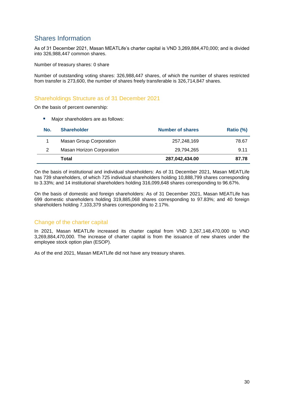# <span id="page-30-0"></span>Shares Information

As of 31 December 2021, Masan MEATLife's charter capital is VND 3,269,884,470,000; and is divided into 326,988,447 common shares.

Number of treasury shares: 0 share

Number of outstanding voting shares: 326,988,447 shares, of which the number of shares restricted from transfer is 273,600, the number of shares freely transferable is 326,714,847 shares.

## <span id="page-30-1"></span>Shareholdings Structure as of 31 December 2021

On the basis of percent ownership:

**Major shareholders are as follows:** 

| No. | <b>Shareholder</b>               | <b>Number of shares</b> | Ratio (%) |
|-----|----------------------------------|-------------------------|-----------|
|     | <b>Masan Group Corporation</b>   | 257,248,169             | 78.67     |
| 2   | <b>Masan Horizon Corporation</b> | 29,794,265              | 9.11      |
|     | Total                            | 287,042,434.00          | 87.78     |

On the basis of institutional and individual shareholders: As of 31 December 2021, Masan MEATLife has 739 shareholders, of which 725 individual shareholders holding 10,888,799 shares corresponding to 3.33%; and 14 institutional shareholders holding 316,099,648 shares corresponding to 96.67%.

On the basis of domestic and foreign shareholders: As of 31 December 2021, Masan MEATLife has 699 domestic shareholders holding 319,885,068 shares corresponding to 97.83%; and 40 foreign shareholders holding 7,103,379 shares corresponding to 2.17%.

## <span id="page-30-2"></span>Change of the charter capital

In 2021, Masan MEATLife increased its charter capital from VND 3,267,148,470,000 to VND 3,269,884,470,000. The increase of charter capital is from the issuance of new shares under the employee stock option plan (ESOP).

As of the end 2021, Masan MEATLife did not have any treasury shares.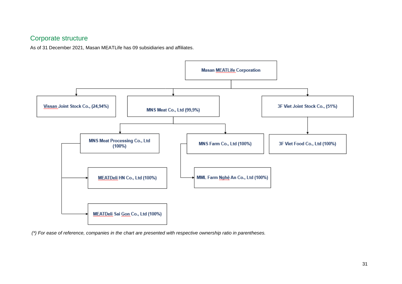# Corporate structure

As of 31 December 2021, Masan MEATLife has 09 subsidiaries and affiliates.



<span id="page-31-0"></span>*(\*) For ease of reference, companies in the chart are presented with respective ownership ratio in parentheses.*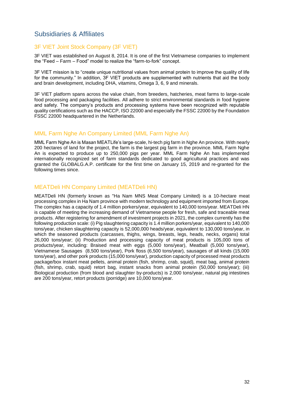## <span id="page-32-0"></span>Subsidiaries & Affiliates

### <span id="page-32-1"></span>3F VIET Joint Stock Company (3F VIET)

3F VIET was established on August 8, 2014. It is one of the first Vietnamese companies to implement the "Feed – Farm – Food" model to realize the "farm-to-fork" concept.

3F VIET mission is to "create unique nutritional values from animal protein to improve the quality of life for the community." In addition, 3F VIET products are supplemented with nutrients that aid the body and brain development, including DHA, vitamins, Omega 3, 6, 9 and minerals.

3F VIET platform spans across the value chain, from breeders, hatcheries, meat farms to large-scale food processing and packaging facilities. All adhere to strict environmental standards in food hygiene and safety. The company's products and processing systems have been recognized with reputable quality certifications such as the HACCP, ISO 22000 and especially the FSSC 22000 by the Foundation FSSC 22000 headquartered in the Netherlands.

### <span id="page-32-2"></span>MML Farm Nghe An Company Limited (MML Farm Nghe An)

MML Farm Nghe An is Masan MEATLife's large-scale, hi-tech pig farm in Nghe An province. With nearly 200 hectares of land for the project, the farm is the largest pig farm in the province. MML Farm Nghe An is expected to produce up to 250,000 pigs per year. MML Farm Nghe An has implemented internationally recognized set of farm standards dedicated to good agricultural practices and was granted the GLOBALG.A.P. certificate for the first time on January 15, 2019 and re-granted for the following times since.

## <span id="page-32-3"></span>MEATDeli HN Company Limited (MEATDeli HN)

MEATDeli HN (formerly known as "Ha Nam MNS Meat Company Limited) is a 10-hectare meat processing complex in Ha Nam province with modern technology and equipment imported from Europe. The complex has a capacity of 1.4 million porkers/year, equivalent to 140,000 tons/year. MEATDeli HN is capable of meeting the increasing demand of Vietnamese people for fresh, safe and traceable meat products. After registering for amendment of investment projects in 2021, the complex currently has the following production scale: (i) Pig slaughtering capacity is 1.4 million porkers/year, equivalent to 140,000 tons/year, chicken slaughtering capacity is 52,000,000 heads/year, equivalent to 130,000 tons/year, in which the seasoned products (carcasses, thighs, wings, breasts, legs, heads, necks, organs) total 26,000 tons/year; (ii) Production and processing capacity of meat products is 105,000 tons of products/year, including: Braised meat with eggs (5,000 tons/year), Meatball (5,000 tons/year), Vietnamese Sausages (8,500 tons/year), Pork floss (6,500 tons/year), sausages of all kinds (15,000 tons/year), and other pork products (15,000 tons/year), production capacity of processed meat products package/box instant meat pellets, animal protein (fish, shrimp, crab, squid), meat bag, animal protein (fish, shrimp, crab, squid) retort bag, instant snacks from animal protein (50,000 tons/year); (iii) Biological production (from blood and slaughter by-products) is 2,000 tons/year, natural pig intestines are 200 tons/year, retort products (porridge) are 10,000 tons/year.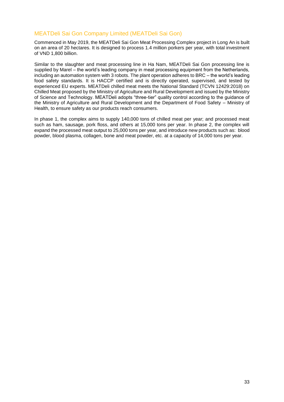## <span id="page-33-0"></span>MEATDeli Sai Gon Company Limited (MEATDeli Sai Gon)

Commenced in May 2019, the MEATDeli Sai Gon Meat Processing Complex project in Long An is built on an area of 20 hectares. It is designed to process 1.4 million porkers per year, with total investment of VND 1,800 billion.

Similar to the slaughter and meat processing line in Ha Nam, MEATDeli Sai Gon processing line is supplied by Marel – the world's leading company in meat processing equipment from the Netherlands, including an automation system with 3 robots. The plant operation adheres to BRC – the world's leading food safety standards. It is HACCP certified and is directly operated, supervised, and tested by experienced EU experts. MEATDeli chilled meat meets the National Standard (TCVN 12429:2018) on Chilled Meat proposed by the Ministry of Agriculture and Rural Development and issued by the Ministry of Science and Technology. MEATDeli adopts "three-tier" quality control according to the guidance of the Ministry of Agriculture and Rural Development and the Department of Food Safety – Ministry of Health, to ensure safety as our products reach consumers.

In phase 1, the complex aims to supply 140,000 tons of chilled meat per year; and processed meat such as ham, sausage, pork floss, and others at 15,000 tons per year. In phase 2, the complex will expand the processed meat output to 25,000 tons per year, and introduce new products such as: blood powder, blood plasma, collagen, bone and meat powder, etc. at a capacity of 14,000 tons per year.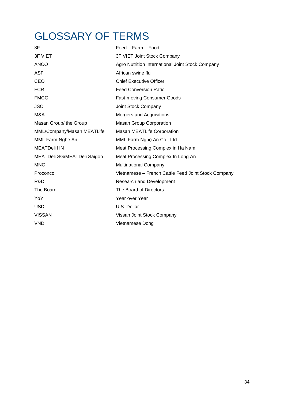# <span id="page-34-0"></span>GLOSSARY OF TERMS

| 3F                          | Feed – Farm – Food                                  |
|-----------------------------|-----------------------------------------------------|
| <b>3F VIET</b>              | 3F VIET Joint Stock Company                         |
| <b>ANCO</b>                 | Agro Nutrition International Joint Stock Company    |
| <b>ASF</b>                  | African swine flu                                   |
| CEO                         | <b>Chief Executive Officer</b>                      |
| <b>FCR</b>                  | <b>Feed Conversion Ratio</b>                        |
| <b>FMCG</b>                 | <b>Fast-moving Consumer Goods</b>                   |
| <b>JSC</b>                  | Joint Stock Company                                 |
| M&A                         | Mergers and Acquisitions                            |
| Masan Group/ the Group      | <b>Masan Group Corporation</b>                      |
| MML/Company/Masan MEATLife  | Masan MEATLife Corporation                          |
| MML Farm Nghe An            | MML Farm Nghệ An Co., Ltd                           |
| <b>MEATDeli HN</b>          | Meat Processing Complex in Ha Nam                   |
| MEATDeli SG/MEATDeli Saigon | Meat Processing Complex In Long An                  |
| <b>MNC</b>                  | <b>Multinational Company</b>                        |
| Proconco                    | Vietnamese - French Cattle Feed Joint Stock Company |
| R&D                         | <b>Research and Development</b>                     |
| The Board                   | The Board of Directors                              |
| YoY                         | Year over Year                                      |
| <b>USD</b>                  | U.S. Dollar                                         |
| <b>VISSAN</b>               | Vissan Joint Stock Company                          |
| <b>VND</b>                  | Vietnamese Dong                                     |